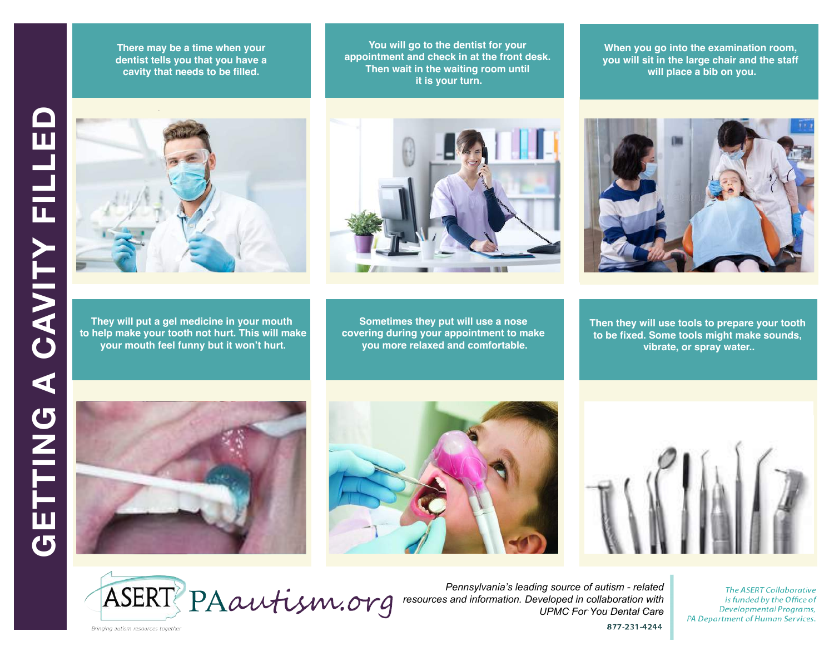**At the park there are rules to follow. There may be a time when your<br>dentist tells you that you have a not allow the goal in the goal in the cavity that needs to be filled. There may be a time when your**

**There may also may be things I cannot You will go to the dentist for your tou will go to the definish for your**<br>appointment and check in at the front desk. **Then wait in the waiting room until it is your turn.** 

**When you go into the examination room, you will sit in the large chair and the staff will place a bib on you.**



**They will put a gel medicine in your mouth to help make your tooth not hurt. This will make your mouth feel funny but it won't hurt.**



**Sometimes they put will use a nose covering during your appointment to make you more relaxed and comfortable.**



**Then they will use tools to prepare your tooth to be fixed. Some tools might make sounds, vibrate, or spray water..**









*Pennsylvania's leading source of autism - related resources and information. Developed in collaboration with UPMC For You Dental Care*

**The ASERT Collaborative** is funded by the Office of Developmental Programs, PA Department of Human Services.

877-231-4244